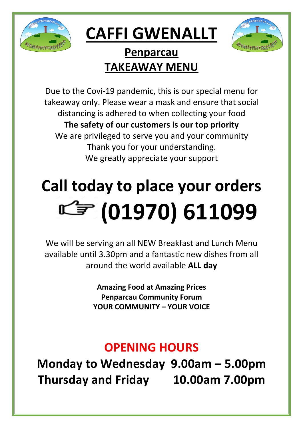

## **CAFFI GWENALLT**



#### **Penparcau TAKEAWAY MENU**

Due to the Covi-19 pandemic, this is our special menu for takeaway only. Please wear a mask and ensure that social distancing is adhered to when collecting your food **The safety of our customers is our top priority** We are privileged to serve you and your community Thank you for your understanding. We greatly appreciate your support

# **Call today to place your orders (01970) 611099**

We will be serving an all NEW Breakfast and Lunch Menu available until 3.30pm and a fantastic new dishes from all around the world available **ALL day**

> **Amazing Food at Amazing Prices Penparcau Community Forum YOUR COMMUNITY – YOUR VOICE**

### **OPENING HOURS**

**Monday to Wednesday 9.00am – 5.00pm Thursday and Friday 10.00am 7.00pm**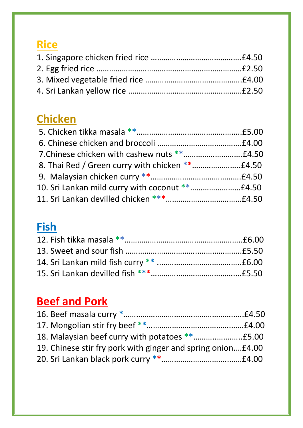#### **Rice**

#### **Chicken**

#### **Fish**

### **Beef and Pork**

| 19. Chinese stir fry pork with ginger and spring onion£4.00 |  |
|-------------------------------------------------------------|--|
|                                                             |  |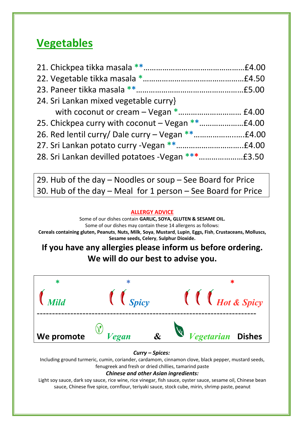#### **Vegetables**

| 24. Sri Lankan mixed vegetable curry} |  |
|---------------------------------------|--|
|                                       |  |
|                                       |  |
|                                       |  |
|                                       |  |
|                                       |  |

29. Hub of the day – Noodles or soup – See Board for Price 30. Hub of the day – Meal for 1 person – See Board for Price

#### **ALLERGY ADVICE**

Some of our dishes contain **GARLIC, SOYA, GLUTEN & SESAME OIL.** Some of our dishes may contain these 14 allergens as follows: **Cereals containing gluten, Peanuts**, **Nuts, Milk**, **Soya**, **Mustard**, **Lupin**, **Eggs, Fish**, **Crustaceans, Molluscs, Sesame seeds, Celery**, **Sulphur Dioxide.**

**If you have any allergies please inform us before ordering. We will do our best to advise you.**



#### *Curry – Spices:*

Including ground turmeric, cumin, coriander, cardamom, cinnamon clove, black pepper, mustard seeds, fenugreek and fresh or dried chillies, tamarind paste

#### *Chinese and other Asian ingredients:*

Light soy sauce, dark soy sauce, rice wine, rice vinegar, fish sauce, oyster sauce, sesame oil, Chinese bean sauce, Chinese five spice, cornflour, teriyaki sauce, stock cube, mirin, shrimp paste, peanut